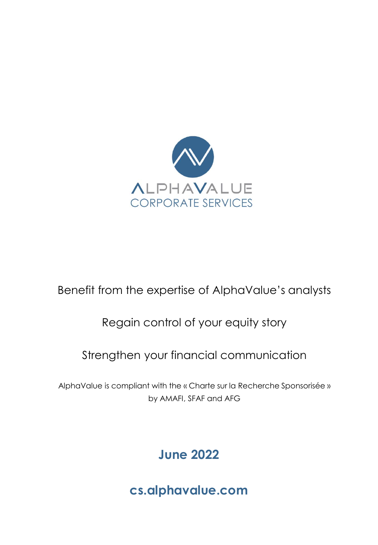

### Benefit from the expertise of AlphaValue's analysts

### Regain control of your equity story

### Strengthen your financial communication

AlphaValue is compliant with the « Charte sur la Recherche Sponsorisée » by AMAFI, SFAF and AFG

### **June 2022**

**cs.alphavalue.com**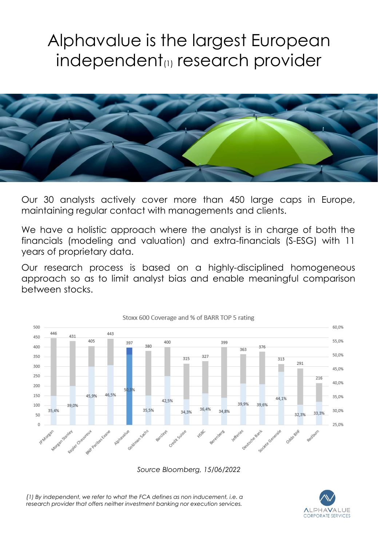## Alphavalue is the largest European independent<sup>(1)</sup> research provider



Our 30 analysts actively cover more than 450 large caps in Europe, maintaining regular contact with managements and clients.

We have a holistic approach where the analyst is in charge of both the financials (modeling and valuation) and extra-financials (S-ESG) with 11 years of proprietary data.

Our research process is based on a highly-disciplined homogeneous approach so as to limit analyst bias and enable meaningful comparison between stocks.



*Source Bloomberg, 15/06/2022*

*(1) By independent, we refer to what the FCA defines as non inducement, i.e. a research provider that offers neither investment banking nor execution services.* 

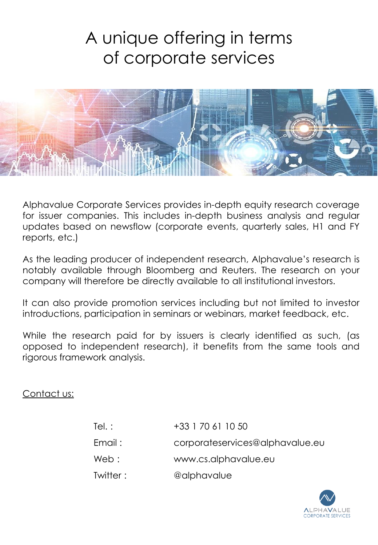# A unique offering in terms of corporate services



Alphavalue Corporate Services provides in-depth equity research coverage for issuer companies. This includes in-depth business analysis and regular updates based on newsflow (corporate events, quarterly sales, H1 and FY reports, etc.)

As the leading producer of independent research, Alphavalue's research is notably available through Bloomberg and Reuters. The research on your company will therefore be directly available to all institutional investors.

It can also provide promotion services including but not limited to investor introductions, participation in seminars or webinars, market feedback, etc.

While the research paid for by issuers is clearly identified as such, (as opposed to independent research), it benefits from the same tools and rigorous framework analysis.

Contact us:

| Tel.:    | +33 1 70 61 10 50               |
|----------|---------------------------------|
| Email:   | corporateservices@alphavalue.eu |
| Web:     | www.cs.alphavalue.eu            |
| Twitter: | @alphavalue                     |

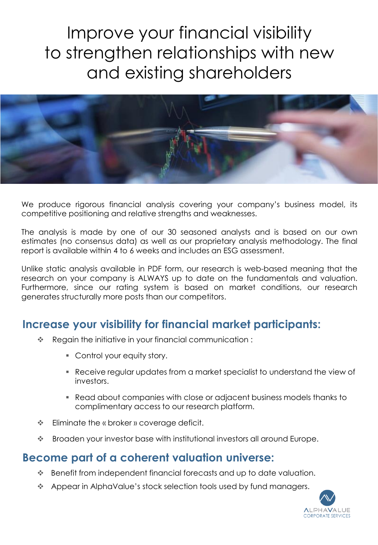# Improve your financial visibility to strengthen relationships with new and existing shareholders



We produce rigorous financial analysis covering your company's business model, its competitive positioning and relative strengths and weaknesses.

The analysis is made by one of our 30 seasoned analysts and is based on our own estimates (no consensus data) as well as our proprietary analysis methodology. The final report is available within 4 to 6 weeks and includes an ESG assessment.

Unlike static analysis available in PDF form, our research is web-based meaning that the research on your company is ALWAYS up to date on the fundamentals and valuation. Furthermore, since our rating system is based on market conditions, our research generates structurally more posts than our competitors.

### **Increase your visibility for financial market participants:**

- \* Regain the initiative in your financial communication:
	- Control your equity story.
	- Receive regular updates from a market specialist to understand the view of investors.
	- Read about companies with close or adjacent business models thanks to complimentary access to our research platform.
- **Eliminate the « broker » coverage deficit.**
- Broaden your investor base with institutional investors all around Europe.

### **Become part of a coherent valuation universe:**

- Benefit from independent financial forecasts and up to date valuation.
- Appear in AlphaValue's stock selection tools used by fund managers.

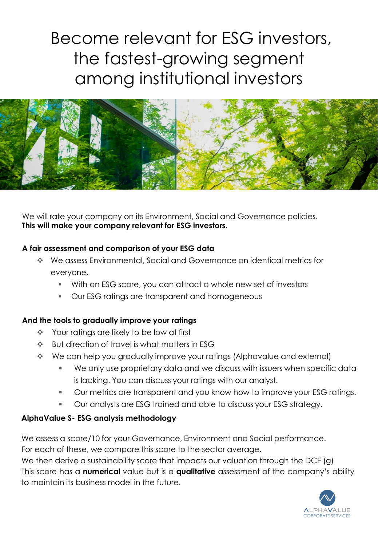## Become relevant for ESG investors, the fastest-growing segment among institutional investors



We will rate your company on its Environment, Social and Governance policies. **This will make your company relevant for ESG investors.** 

#### **A fair assessment and comparison of your ESG data**

- We assess Environmental, Social and Governance on identical metrics for everyone.
	- With an ESG score, you can attract a whole new set of investors
	- Our ESG ratings are transparent and homogeneous

#### **And the tools to gradually improve your ratings**

- ◆ Your ratings are likely to be low at first
- **EXECTED BUT direction of travel is what matters in ESG**
- We can help you gradually improve your ratings (Alphavalue and external)
	- We only use proprietary data and we discuss with issuers when specific data is lacking. You can discuss your ratings with our analyst.
	- Our metrics are transparent and you know how to improve your ESG ratings.
	- Our analysts are ESG trained and able to discuss your ESG strategy.

#### **AlphaValue S- ESG analysis methodology**

We assess a score/10 for your Governance, Environment and Social performance. For each of these, we compare this score to the sector average.

We then derive a sustainability score that impacts our valuation through the DCF (g) This score has a **numerical** value but is a **qualitative** assessment of the company's ability to maintain its business model in the future.

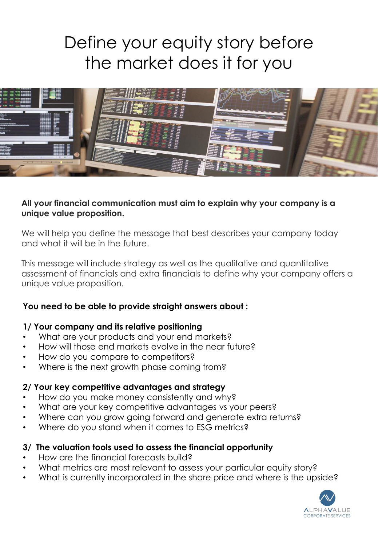## Define your equity story before the market does it for you



#### **All your financial communication must aim to explain why your company is a unique value proposition.**

We will help you define the message that best describes your company today and what it will be in the future.

This message will include strategy as well as the qualitative and quantitative assessment of financials and extra financials to define why your company offers a unique value proposition.

#### **You need to be able to provide straight answers about :**

#### **1/ Your company and its relative positioning**

- What are your products and your end markets?
- How will those end markets evolve in the near future?
- How do you compare to competitors?
- Where is the next growth phase coming from?

#### **2/ Your key competitive advantages and strategy**

- How do you make money consistently and why?
- What are your key competitive advantages vs your peers?
- Where can you grow going forward and generate extra returns?
- Where do you stand when it comes to ESG metrics?

#### **3/ The valuation tools used to assess the financial opportunity**

- How are the financial forecasts build?
- What metrics are most relevant to assess your particular equity story?
- What is currently incorporated in the share price and where is the upside?

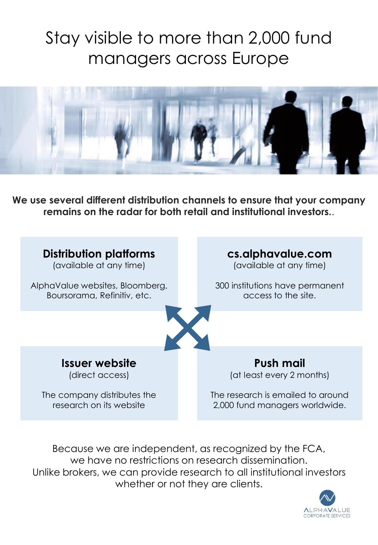# Stay visible to more than 2,000 fund managers across Europe



**We use several different distribution channels to ensure that your company remains on the radar for both retail and institutional investors.**.



Because we are independent, as recognized by the FCA, we have no restrictions on research dissemination. Unlike brokers, we can provide research to all institutional investors whether or not they are clients.